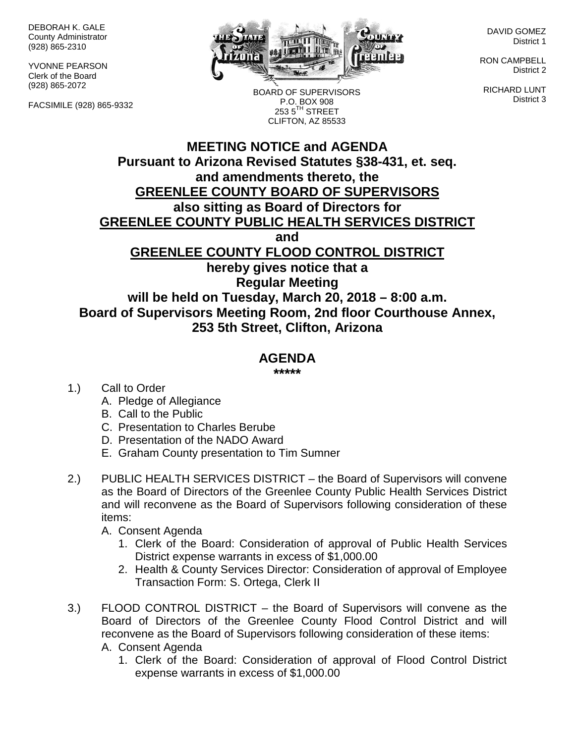DEBORAH K. GALE County Administrator (928) 865-2310

YVONNE PEARSON Clerk of the Board (928) 865-2072

FACSIMILE (928) 865-9332



BOARD OF SUPERVISORS P.O. BOX 908  $2535^{\text{TH}}$  STREET

DAVID GOMEZ District 1

RON CAMPBELL District 2

RICHARD LUNT District 3

## **MEETING NOTICE and AGENDA Pursuant to Arizona Revised Statutes §38-431, et. seq. and amendments thereto, the GREENLEE COUNTY BOARD OF SUPERVISORS also sitting as Board of Directors for GREENLEE COUNTY PUBLIC HEALTH SERVICES DISTRICT and GREENLEE COUNTY FLOOD CONTROL DISTRICT hereby gives notice that a Regular Meeting** CLIFTON, AZ 85533

**will be held on Tuesday, March 20, 2018 – 8:00 a.m. Board of Supervisors Meeting Room, 2nd floor Courthouse Annex, 253 5th Street, Clifton, Arizona**

## **AGENDA**

**\*\*\*\*\***

- 1.) Call to Order
	- A. Pledge of Allegiance
	- B. Call to the Public
	- C. Presentation to Charles Berube
	- D. Presentation of the NADO Award
	- E. Graham County presentation to Tim Sumner
- 2.) PUBLIC HEALTH SERVICES DISTRICT the Board of Supervisors will convene as the Board of Directors of the Greenlee County Public Health Services District and will reconvene as the Board of Supervisors following consideration of these items:
	- A. Consent Agenda
		- 1. Clerk of the Board: Consideration of approval of Public Health Services District expense warrants in excess of \$1,000.00
		- 2. Health & County Services Director: Consideration of approval of Employee Transaction Form: S. Ortega, Clerk II
- 3.) FLOOD CONTROL DISTRICT the Board of Supervisors will convene as the Board of Directors of the Greenlee County Flood Control District and will reconvene as the Board of Supervisors following consideration of these items: A. Consent Agenda
	- 1. Clerk of the Board: Consideration of approval of Flood Control District expense warrants in excess of \$1,000.00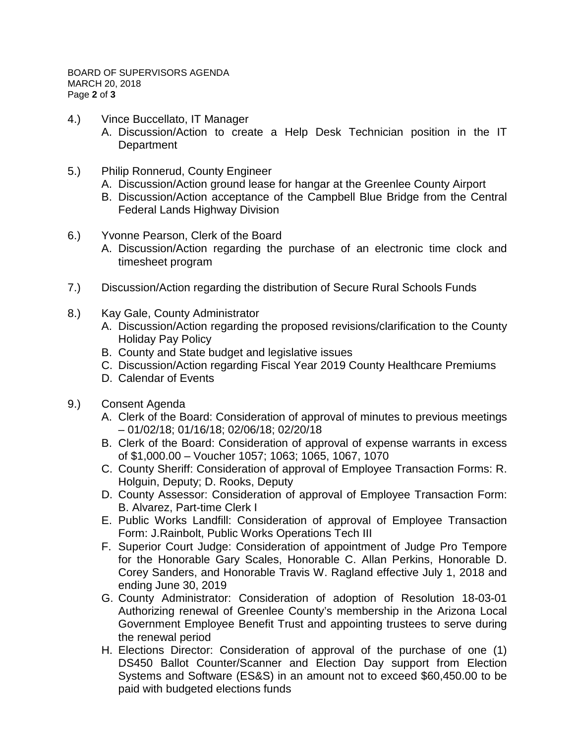- 4.) Vince Buccellato, IT Manager
	- A. Discussion/Action to create a Help Desk Technician position in the IT **Department**
- 5.) Philip Ronnerud, County Engineer
	- A. Discussion/Action ground lease for hangar at the Greenlee County Airport
	- B. Discussion/Action acceptance of the Campbell Blue Bridge from the Central Federal Lands Highway Division
- 6.) Yvonne Pearson, Clerk of the Board
	- A. Discussion/Action regarding the purchase of an electronic time clock and timesheet program
- 7.) Discussion/Action regarding the distribution of Secure Rural Schools Funds
- 8.) Kay Gale, County Administrator
	- A. Discussion/Action regarding the proposed revisions/clarification to the County Holiday Pay Policy
	- B. County and State budget and legislative issues
	- C. Discussion/Action regarding Fiscal Year 2019 County Healthcare Premiums
	- D. Calendar of Events
- 9.) Consent Agenda
	- A. Clerk of the Board: Consideration of approval of minutes to previous meetings – 01/02/18; 01/16/18; 02/06/18; 02/20/18
	- B. Clerk of the Board: Consideration of approval of expense warrants in excess of \$1,000.00 – Voucher 1057; 1063; 1065, 1067, 1070
	- C. County Sheriff: Consideration of approval of Employee Transaction Forms: R. Holguin, Deputy; D. Rooks, Deputy
	- D. County Assessor: Consideration of approval of Employee Transaction Form: B. Alvarez, Part-time Clerk I
	- E. Public Works Landfill: Consideration of approval of Employee Transaction Form: J.Rainbolt, Public Works Operations Tech III
	- F. Superior Court Judge: Consideration of appointment of Judge Pro Tempore for the Honorable Gary Scales, Honorable C. Allan Perkins, Honorable D. Corey Sanders, and Honorable Travis W. Ragland effective July 1, 2018 and ending June 30, 2019
	- G. County Administrator: Consideration of adoption of Resolution 18-03-01 Authorizing renewal of Greenlee County's membership in the Arizona Local Government Employee Benefit Trust and appointing trustees to serve during the renewal period
	- H. Elections Director: Consideration of approval of the purchase of one (1) DS450 Ballot Counter/Scanner and Election Day support from Election Systems and Software (ES&S) in an amount not to exceed \$60,450.00 to be paid with budgeted elections funds